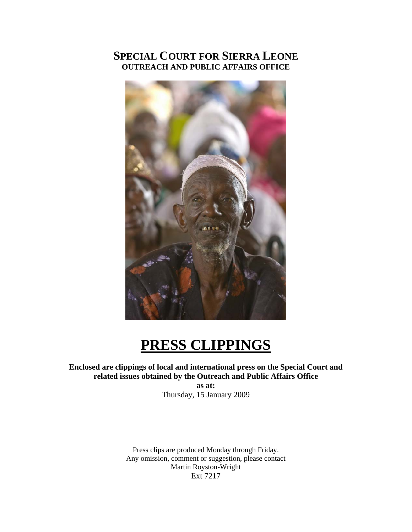## **SPECIAL COURT FOR SIERRA LEONE OUTREACH AND PUBLIC AFFAIRS OFFICE**



# **PRESS CLIPPINGS**

## **Enclosed are clippings of local and international press on the Special Court and related issues obtained by the Outreach and Public Affairs Office**

**as at:**  Thursday, 15 January 2009

Press clips are produced Monday through Friday. Any omission, comment or suggestion, please contact Martin Royston-Wright Ext 7217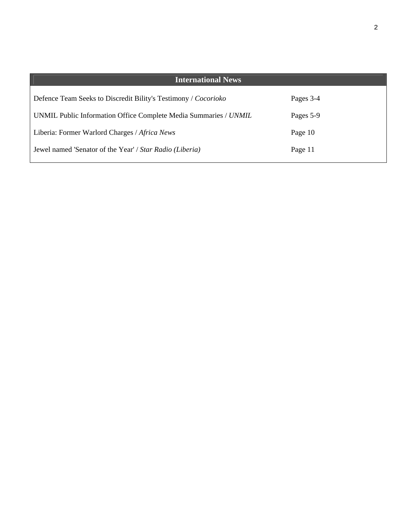| <b>International News</b>                                        |           |
|------------------------------------------------------------------|-----------|
| Defence Team Seeks to Discredit Bility's Testimony / Cocorioko   | Pages 3-4 |
| UNMIL Public Information Office Complete Media Summaries / UNMIL | Pages 5-9 |
| Liberia: Former Warlord Charges / Africa News                    | Page 10   |
| Jewel named 'Senator of the Year' / Star Radio (Liberia)         | Page 11   |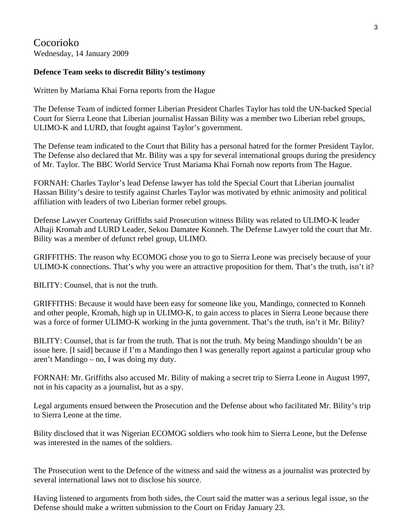## Cocorioko Wednesday, 14 January 2009

## **Defence Team seeks to discredit Bility's testimony**

Written by Mariama Khai Forna reports from the Hague

The Defense Team of indicted former Liberian President Charles Taylor has told the UN-backed Special Court for Sierra Leone that Liberian journalist Hassan Bility was a member two Liberian rebel groups, ULIMO-K and LURD, that fought against Taylor's government.

The Defense team indicated to the Court that Bility has a personal hatred for the former President Taylor. The Defense also declared that Mr. Bility was a spy for several international groups during the presidency of Mr. Taylor. The BBC World Service Trust Mariama Khai Fornah now reports from The Hague.

FORNAH: Charles Taylor's lead Defense lawyer has told the Special Court that Liberian journalist Hassan Bility's desire to testify against Charles Taylor was motivated by ethnic animosity and political affiliation with leaders of two Liberian former rebel groups.

Defense Lawyer Courtenay Griffiths said Prosecution witness Bility was related to ULIMO-K leader Alhaji Kromah and LURD Leader, Sekou Damatee Konneh. The Defense Lawyer told the court that Mr. Bility was a member of defunct rebel group, ULIMO.

GRIFFITHS: The reason why ECOMOG chose you to go to Sierra Leone was precisely because of your ULIMO-K connections. That's why you were an attractive proposition for them. That's the truth, isn't it?

BILITY: Counsel, that is not the truth.

GRIFFITHS: Because it would have been easy for someone like you, Mandingo, connected to Konneh and other people, Kromah, high up in ULIMO-K, to gain access to places in Sierra Leone because there was a force of former ULIMO-K working in the junta government. That's the truth, isn't it Mr. Bility?

BILITY: Counsel, that is far from the truth. That is not the truth. My being Mandingo shouldn't be an issue here. [I said] because if I'm a Mandingo then I was generally report against a particular group who aren't Mandingo – no, I was doing my duty.

FORNAH: Mr. Griffiths also accused Mr. Bility of making a secret trip to Sierra Leone in August 1997, not in his capacity as a journalist, but as a spy.

Legal arguments ensued between the Prosecution and the Defense about who facilitated Mr. Bility's trip to Sierra Leone at the time.

Bility disclosed that it was Nigerian ECOMOG soldiers who took him to Sierra Leone, but the Defense was interested in the names of the soldiers.

The Prosecution went to the Defence of the witness and said the witness as a journalist was protected by several international laws not to disclose his source.

Having listened to arguments from both sides, the Court said the matter was a serious legal issue, so the Defense should make a written submission to the Court on Friday January 23.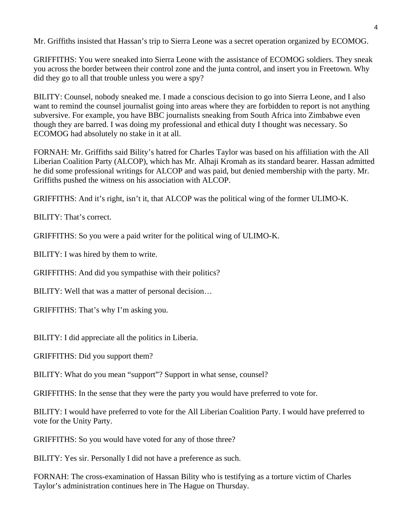Mr. Griffiths insisted that Hassan's trip to Sierra Leone was a secret operation organized by ECOMOG.

GRIFFITHS: You were sneaked into Sierra Leone with the assistance of ECOMOG soldiers. They sneak you across the border between their control zone and the junta control, and insert you in Freetown. Why did they go to all that trouble unless you were a spy?

BILITY: Counsel, nobody sneaked me. I made a conscious decision to go into Sierra Leone, and I also want to remind the counsel journalist going into areas where they are forbidden to report is not anything subversive. For example, you have BBC journalists sneaking from South Africa into Zimbabwe even though they are barred. I was doing my professional and ethical duty I thought was necessary. So ECOMOG had absolutely no stake in it at all.

FORNAH: Mr. Griffiths said Bility's hatred for Charles Taylor was based on his affiliation with the All Liberian Coalition Party (ALCOP), which has Mr. Alhaji Kromah as its standard bearer. Hassan admitted he did some professional writings for ALCOP and was paid, but denied membership with the party. Mr. Griffiths pushed the witness on his association with ALCOP.

GRIFFITHS: And it's right, isn't it, that ALCOP was the political wing of the former ULIMO-K.

BILITY: That's correct.

GRIFFITHS: So you were a paid writer for the political wing of ULIMO-K.

BILITY: I was hired by them to write.

GRIFFITHS: And did you sympathise with their politics?

BILITY: Well that was a matter of personal decision…

GRIFFITHS: That's why I'm asking you.

BILITY: I did appreciate all the politics in Liberia.

GRIFFITHS: Did you support them?

BILITY: What do you mean "support"? Support in what sense, counsel?

GRIFFITHS: In the sense that they were the party you would have preferred to vote for.

BILITY: I would have preferred to vote for the All Liberian Coalition Party. I would have preferred to vote for the Unity Party.

GRIFFITHS: So you would have voted for any of those three?

BILITY: Yes sir. Personally I did not have a preference as such.

FORNAH: The cross-examination of Hassan Bility who is testifying as a torture victim of Charles Taylor's administration continues here in The Hague on Thursday.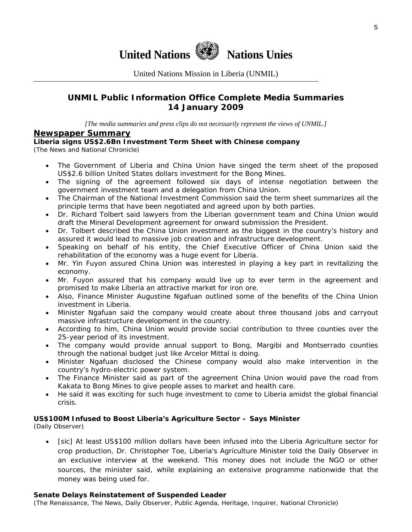

United Nations Mission in Liberia (UNMIL)

## **UNMIL Public Information Office Complete Media Summaries 14 January 2009**

*[The media summaries and press clips do not necessarily represent the views of UNMIL.]* 

#### **Newspaper Summary**

#### **Liberia signs US\$2.6Bn Investment Term Sheet with Chinese company**

(The News and National Chronicle)

- The Government of Liberia and China Union have singed the term sheet of the proposed US\$2.6 billion United States dollars investment for the Bong Mines.
- The signing of the agreement followed six days of intense negotiation between the government investment team and a delegation from China Union.
- The Chairman of the National Investment Commission said the term sheet summarizes all the principle terms that have been negotiated and agreed upon by both parties.
- Dr. Richard Tolbert said lawyers from the Liberian government team and China Union would draft the Mineral Development agreement for onward submission the President.
- Dr. Tolbert described the China Union investment as the biggest in the country's history and assured it would lead to massive job creation and infrastructure development.
- Speaking on behalf of his entity, the Chief Executive Officer of China Union said the rehabilitation of the economy was a huge event for Liberia.
- Mr. Yin Fuyon assured China Union was interested in playing a key part in revitalizing the economy.
- Mr. Fuyon assured that his company would live up to ever term in the agreement and promised to make Liberia an attractive market for iron ore.
- Also, Finance Minister Augustine Ngafuan outlined some of the benefits of the China Union investment in Liberia.
- Minister Ngafuan said the company would create about three thousand jobs and carryout massive infrastructure development in the country.
- According to him, China Union would provide social contribution to three counties over the 25-year period of its investment.
- The company would provide annual support to Bong, Margibi and Montserrado counties through the national budget just like Arcelor Mittal is doing.
- Minister Ngafuan disclosed the Chinese company would also make intervention in the country's hydro-electric power system.
- The Finance Minister said as part of the agreement China Union would pave the road from Kakata to Bong Mines to give people asses to market and health care.
- He said it was exciting for such huge investment to come to Liberia amidst the global financial crisis.

#### **US\$100M Infused to Boost Liberia's Agriculture Sector – Says Minister**

(Daily Observer)

• [sic] At least US\$100 million dollars have been infused into the Liberia Agriculture sector for crop production, Dr. Christopher Toe, Liberia's Agriculture Minister told the Daily Observer in an exclusive interview at the weekend. This money does not include the NGO or other sources, the minister said, while explaining an extensive programme nationwide that the money was being used for.

#### **Senate Delays Reinstatement of Suspended Leader**

(The Renaissance, The News, Daily Observer, Public Agenda, Heritage, Inquirer, National Chronicle)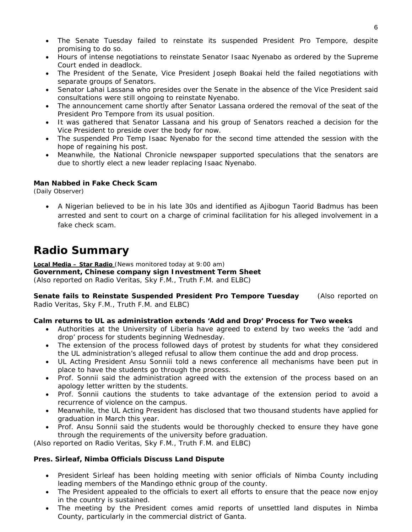- The Senate Tuesday failed to reinstate its suspended President Pro Tempore, despite promising to do so.
- Hours of intense negotiations to reinstate Senator Isaac Nyenabo as ordered by the Supreme Court ended in deadlock.
- The President of the Senate, Vice President Joseph Boakai held the failed negotiations with separate groups of Senators.
- Senator Lahai Lassana who presides over the Senate in the absence of the Vice President said consultations were still ongoing to reinstate Nyenabo.
- The announcement came shortly after Senator Lassana ordered the removal of the seat of the President Pro Tempore from its usual position.
- It was gathered that Senator Lassana and his group of Senators reached a decision for the Vice President to preside over the body for now.
- The suspended Pro Temp Isaac Nyenabo for the second time attended the session with the hope of regaining his post.
- Meanwhile, the National Chronicle newspaper supported speculations that the senators are due to shortly elect a new leader replacing Isaac Nyenabo.

#### **Man Nabbed in Fake Check Scam**

(Daily Observer)

• A Nigerian believed to be in his late 30s and identified as Ajibogun Taorid Badmus has been arrested and sent to court on a charge of criminal facilitation for his alleged involvement in a fake check scam.

# **Radio Summary**

**Local Media – Star Radio** *(News monitored today at 9:00 am)* **Government, Chinese company sign Investment Term Sheet**  *(Also reported on Radio Veritas, Sky F.M., Truth F.M. and ELBC*)

**Senate fails to Reinstate Suspended President Pro Tempore Tuesday** *(Also reported on Radio Veritas, Sky F.M., Truth F.M. and ELBC*)

#### **Calm returns to UL as administration extends 'Add and Drop' Process for Two weeks**

- Authorities at the University of Liberia have agreed to extend by two weeks the 'add and drop' process for students beginning Wednesday.
- The extension of the process followed days of protest by students for what they considered the UL administration's alleged refusal to allow them continue the add and drop process.
- UL Acting President Ansu Sonniii told a news conference all mechanisms have been put in place to have the students go through the process.
- Prof. Sonnii said the administration agreed with the extension of the process based on an apology letter written by the students.
- Prof. Sonnii cautions the students to take advantage of the extension period to avoid a recurrence of violence on the campus.
- Meanwhile, the UL Acting President has disclosed that two thousand students have applied for graduation in March this year.
- Prof. Ansu Sonnii said the students would be thoroughly checked to ensure they have gone through the requirements of the university before graduation.

*(Also reported on Radio Veritas, Sky F.M., Truth F.M. and ELBC*)

#### **Pres. Sirleaf, Nimba Officials Discuss Land Dispute**

- President Sirleaf has been holding meeting with senior officials of Nimba County including leading members of the Mandingo ethnic group of the county.
- The President appealed to the officials to exert all efforts to ensure that the peace now enjoy in the country is sustained.
- The meeting by the President comes amid reports of unsettled land disputes in Nimba County, particularly in the commercial district of Ganta.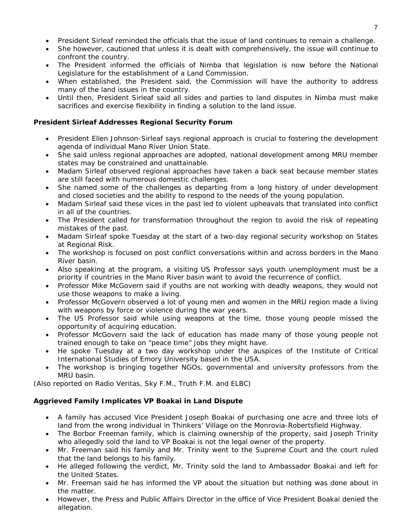- President Sirleaf reminded the officials that the issue of land continues to remain a challenge.
- She however, cautioned that unless it is dealt with comprehensively, the issue will continue to confront the country.
- The President informed the officials of Nimba that legislation is now before the National Legislature for the establishment of a Land Commission.
- When established, the President said, the Commission will have the authority to address many of the land issues in the country.
- Until then, President Sirleaf said all sides and parties to land disputes in Nimba must make sacrifices and exercise flexibility in finding a solution to the land issue.

#### **President Sirleaf Addresses Regional Security Forum**

- President Ellen Johnson-Sirleaf says regional approach is crucial to fostering the development agenda of individual Mano River Union State.
- She said unless regional approaches are adopted, national development among MRU member states may be constrained and unattainable.
- Madam Sirleaf observed regional approaches have taken a back seat because member states are still faced with numerous domestic challenges.
- She named some of the challenges as departing from a long history of under development and closed societies and the ability to respond to the needs of the young population.
- Madam Sirleaf said these vices in the past led to violent upheavals that translated into conflict in all of the countries.
- The President called for transformation throughout the region to avoid the risk of repeating mistakes of the past.
- Madam Sirleaf spoke Tuesday at the start of a two-day regional security workshop on States at Regional Risk.
- The workshop is focused on post conflict conversations within and across borders in the Mano River basin.
- Also speaking at the program, a visiting US Professor says youth unemployment must be a priority if countries in the Mano River basin want to avoid the recurrence of conflict.
- Professor Mike McGovern said if youths are not working with deadly weapons, they would not use those weapons to make a living.
- Professor McGovern observed a lot of young men and women in the MRU region made a living with weapons by force or violence during the war years.
- The US Professor said while using weapons at the time, those young people missed the opportunity of acquiring education.
- Professor McGovern said the lack of education has made many of those young people not trained enough to take on "peace time" jobs they might have.
- He spoke Tuesday at a two day workshop under the auspices of the Institute of Critical International Studies of Emory University based in the USA.
- The workshop is bringing together NGOs, governmental and university professors from the MRU basin.

*(Also reported on Radio Veritas, Sky F.M., Truth F.M. and ELBC*)

#### **Aggrieved Family Implicates VP Boakai in Land Dispute**

- A family has accused Vice President Joseph Boakai of purchasing one acre and three lots of land from the wrong individual in Thinkers' Village on the Monrovia-Robertsfield Highway.
- The Borbor Freeman family, which is claiming ownership of the property, said Joseph Trinity who allegedly sold the land to VP Boakai is not the legal owner of the property.
- Mr. Freeman said his family and Mr. Trinity went to the Supreme Court and the court ruled that the land belongs to his family.
- He alleged following the verdict, Mr. Trinity sold the land to Ambassador Boakai and left for the United States.
- Mr. Freeman said he has informed the VP about the situation but nothing was done about in the matter.
- However, the Press and Public Affairs Director in the office of Vice President Boakai denied the allegation.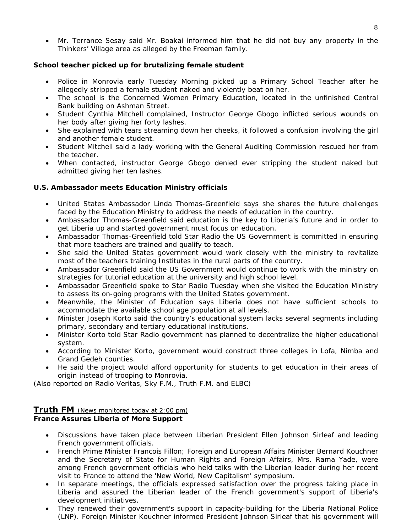• Mr. Terrance Sesay said Mr. Boakai informed him that he did not buy any property in the Thinkers' Village area as alleged by the Freeman family.

#### **School teacher picked up for brutalizing female student**

- Police in Monrovia early Tuesday Morning picked up a Primary School Teacher after he allegedly stripped a female student naked and violently beat on her.
- The school is the Concerned Women Primary Education, located in the unfinished Central Bank building on Ashman Street.
- Student Cynthia Mitchell complained, Instructor George Gbogo inflicted serious wounds on her body after giving her forty lashes.
- She explained with tears streaming down her cheeks, it followed a confusion involving the girl and another female student.
- Student Mitchell said a lady working with the General Auditing Commission rescued her from the teacher.
- When contacted, instructor George Gbogo denied ever stripping the student naked but admitted giving her ten lashes.

#### **U.S. Ambassador meets Education Ministry officials**

- United States Ambassador Linda Thomas-Greenfield says she shares the future challenges faced by the Education Ministry to address the needs of education in the country.
- Ambassador Thomas-Greenfield said education is the key to Liberia's future and in order to get Liberia up and started government must focus on education.
- Ambassador Thomas-Greenfield told Star Radio the US Government is committed in ensuring that more teachers are trained and qualify to teach.
- She said the United States government would work closely with the ministry to revitalize most of the teachers training Institutes in the rural parts of the country.
- Ambassador Greenfield said the US Government would continue to work with the ministry on strategies for tutorial education at the university and high school level.
- Ambassador Greenfield spoke to Star Radio Tuesday when she visited the Education Ministry to assess its on-going programs with the United States government.
- Meanwhile, the Minister of Education says Liberia does not have sufficient schools to accommodate the available school age population at all levels.
- Minister Joseph Korto said the country's educational system lacks several segments including primary, secondary and tertiary educational institutions.
- Minister Korto told Star Radio government has planned to decentralize the higher educational system.
- According to Minister Korto, government would construct three colleges in Lofa, Nimba and Grand Gedeh counties.
- He said the project would afford opportunity for students to get education in their areas of origin instead of trooping to Monrovia.

*(Also reported on Radio Veritas, Sky F.M., Truth F.M. and ELBC*)

#### **Truth FM** *(News monitored today at 2:00 pm)* **France Assures Liberia of More Support**

- Discussions have taken place between Liberian President Ellen Johnson Sirleaf and leading French government officials.
- French Prime Minister Francois Fillon; Foreign and European Affairs Minister Bernard Kouchner and the Secretary of State for Human Rights and Foreign Affairs, Mrs. Rama Yade, were among French government officials who held talks with the Liberian leader during her recent visit to France to attend the 'New World, New Capitalism' symposium.
- In separate meetings, the officials expressed satisfaction over the progress taking place in Liberia and assured the Liberian leader of the French government's support of Liberia's development initiatives.
- They renewed their government's support in capacity-building for the Liberia National Police (LNP). Foreign Minister Kouchner informed President Johnson Sirleaf that his government will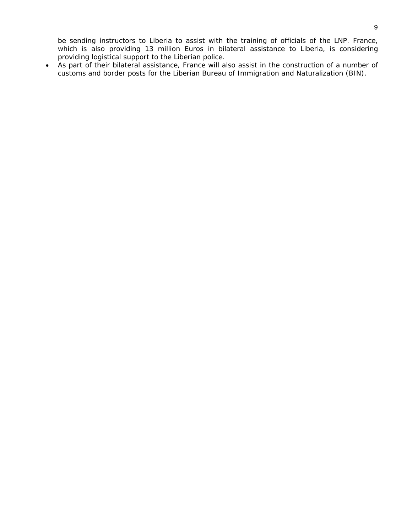be sending instructors to Liberia to assist with the training of officials of the LNP. France, which is also providing 13 million Euros in bilateral assistance to Liberia, is considering providing logistical support to the Liberian police.

• As part of their bilateral assistance, France will also assist in the construction of a number of customs and border posts for the Liberian Bureau of Immigration and Naturalization (BIN).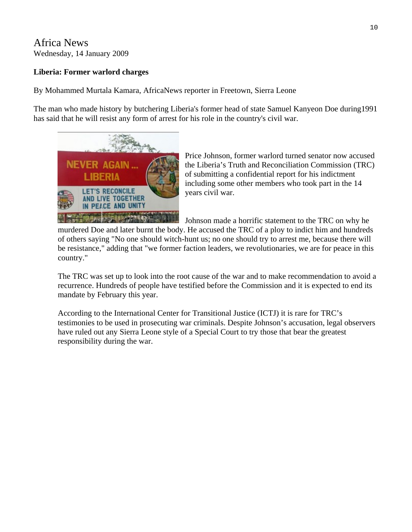## Africa News Wednesday, 14 January 2009

## **Liberia: Former warlord charges**

By Mohammed Murtala Kamara, AfricaNews reporter in Freetown, Sierra Leone

The man who made history by butchering Liberia's former head of state Samuel Kanyeon Doe during1991 has said that he will resist any form of arrest for his role in the country's civil war.



Price Johnson, former warlord turned senator now accused the Liberia's Truth and Reconciliation Commission (TRC) of submitting a confidential report for his indictment including some other members who took part in the 14 years civil war.

Johnson made a horrific statement to the TRC on why he

murdered Doe and later burnt the body. He accused the TRC of a ploy to indict him and hundreds of others saying "No one should witch-hunt us; no one should try to arrest me, because there will be resistance," adding that "we former faction leaders, we revolutionaries, we are for peace in this country."

The TRC was set up to look into the root cause of the war and to make recommendation to avoid a recurrence. Hundreds of people have testified before the Commission and it is expected to end its mandate by February this year.

According to the International Center for Transitional Justice (ICTJ) it is rare for TRC's testimonies to be used in prosecuting war criminals. Despite Johnson's accusation, legal observers have ruled out any Sierra Leone style of a Special Court to try those that bear the greatest responsibility during the war.